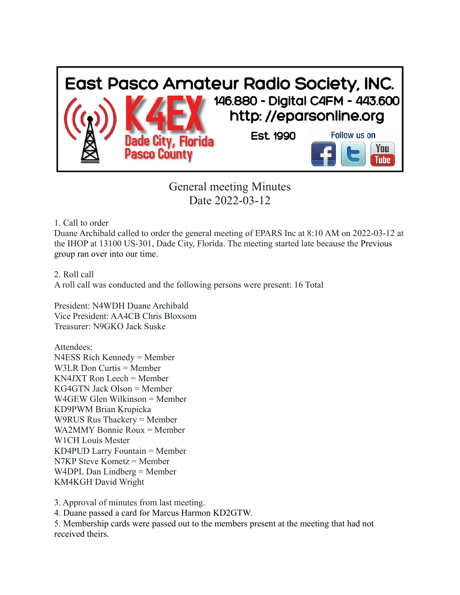

General meeting Minutes Date 2022-03-12

1. Call to order

Duane Archibald called to order the general meeting of EPARS Inc at 8:10 AM on 2022-03-12 at the IHOP at 13100 US-301, Dade City, Florida. The meeting started late because the Previous group ran over into our time.

2. Roll call A roll call was conducted and the following persons were present: 16 Total

President: N4WDH Duane Archibald Vice President: AA4CB Chris Bloxsom Treasurer: N9GKO Jack Suske

Attendees: N4ESS Rich Kennedy = Member W3LR Don Curtis = Member KN4JXT Ron Leech = Member KG4GTN Jack Olson = Member W4GEW Glen Wilkinson = Member KD9PWM Brian Krupicka W9RUS Rus Thackery = Member WA2MMY Bonnie Roux = Member W1CH Louis Mester KD4PUD Larry Fountain = Member N7KP Steve Kometz = Member W4DPL Dan Lindberg = Member KM4KGH David Wright

3. Approval of minutes from last meeting.

4. Duane passed a card for Marcus Harmon KD2GTW.

5. Membership cards were passed out to the members present at the meeting that had not received theirs.